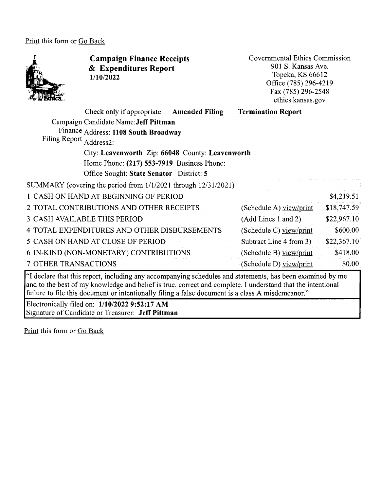Print this form or Go Back



**Campaign Finance Receipts**  & **Expenditures Report 1/10/2022** 

Governmental Ethics Commission 901 S. Kansas Ave. Topeka, KS 66612 Office (785) 296-4219 Fax (785) 296-2548 ethics.kansas.gov

| <b>Filing Report</b>        | Check only if appropriate Amended Filing<br>Campaign Candidate Name: Jeff Pittman<br>Finance Address: 1108 South Broadway<br>Address2:<br>City: Leavenworth Zip: 66048 County: Leavenworth<br>Home Phone: (217) 553-7919 Business Phone:<br>Office Sought: State Senator District: 5 | <b>Termination Report</b> |             |
|-----------------------------|--------------------------------------------------------------------------------------------------------------------------------------------------------------------------------------------------------------------------------------------------------------------------------------|---------------------------|-------------|
|                             | SUMMARY (covering the period from 1/1/2021 through 12/31/2021)                                                                                                                                                                                                                       |                           |             |
|                             | 1 CASH ON HAND AT BEGINNING OF PERIOD                                                                                                                                                                                                                                                |                           | \$4,219.51  |
|                             | 2 TOTAL CONTRIBUTIONS AND OTHER RECEIPTS                                                                                                                                                                                                                                             | (Schedule A) view/print   | \$18,747.59 |
|                             | 3 CASH AVAILABLE THIS PERIOD                                                                                                                                                                                                                                                         | (Add Lines 1 and 2)       | \$22,967.10 |
|                             | 4 TOTAL EXPENDITURES AND OTHER DISBURSEMENTS                                                                                                                                                                                                                                         | (Schedule C) view/print   | \$600.00    |
|                             | 5 CASH ON HAND AT CLOSE OF PERIOD                                                                                                                                                                                                                                                    | Subtract Line 4 from 3)   | \$22,367.10 |
|                             | 6 IN-KIND (NON-MONETARY) CONTRIBUTIONS                                                                                                                                                                                                                                               | (Schedule B) view/print   | \$418.00    |
| <b>7 OTHER TRANSACTIONS</b> |                                                                                                                                                                                                                                                                                      | (Schedule D) view/print   | \$0.00      |

"I declare that this report, including any accompanying schedules and statements, has been examined by me and to the best of my knowledge and belief is true, correct and complete. I understand that the intentional failure to file this document or intentionally filing a false document is a class A misdemeanor."

Electronically filed on: **1/10/2022 9:52:17 AM**  Signature of Candidate or Treasurer: **Jeff Pittman**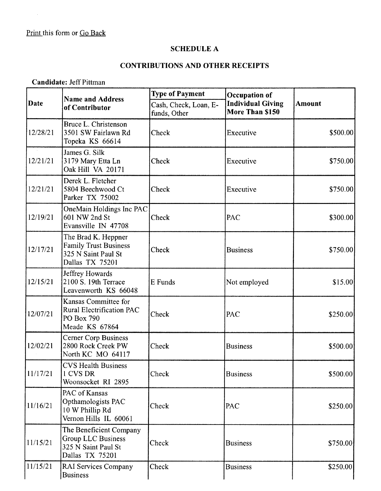$\sim 10^6$ 

## **SCHEDULE A**

## **CONTRIBUTIONS AND OTHER RECEIPTS**

**Candidate:** Jeff Pittman

|             | <b>Name and Address</b>                                                                       | <b>Type of Payment</b>                | <b>Occupation of</b>                        |               |
|-------------|-----------------------------------------------------------------------------------------------|---------------------------------------|---------------------------------------------|---------------|
| <b>Date</b> | of Contributor                                                                                | Cash, Check, Loan, E-<br>funds, Other | <b>Individual Giving</b><br>More Than \$150 | <b>Amount</b> |
| 12/28/21    | Bruce L. Christenson<br>3501 SW Fairlawn Rd<br>Topeka KS 66614                                | Check                                 | Executive                                   | \$500.00      |
| 12/21/21    | James G. Silk<br>3179 Mary Etta Ln<br>Oak Hill VA 20171                                       | Check                                 | Executive                                   | \$750.00      |
| 12/21/21    | Derek L. Fletcher<br>5804 Beechwood Ct<br>Parker TX 75002                                     | Check                                 | Executive                                   | \$750.00      |
| 12/19/21    | OneMain Holdings Inc PAC<br>601 NW 2nd St<br>Evansville IN 47708                              | Check                                 | PAC                                         | \$300.00      |
| 12/17/21    | The Brad K. Heppner<br><b>Family Trust Business</b><br>325 N Saint Paul St<br>Dallas TX 75201 | Check                                 | <b>Business</b>                             | \$750.00      |
| 12/15/21    | Jeffrey Howards<br>2100 S. 19th Terrace<br>Leavenworth KS 66048                               | E Funds                               | Not employed                                | \$15.00       |
| 12/07/21    | Kansas Committee for<br>Rural Electrification PAC<br>PO Box 790<br>Meade KS 67864             | Check                                 | PAC                                         | \$250.00      |
| 12/02/21    | <b>Cerner Corp Business</b><br>2800 Rock Creek PW<br>North KC MO 64117                        | Check                                 | <b>Business</b>                             | \$500.00      |
| 11/17/21    | <b>CVS Health Business</b><br>1 CVS DR<br>Woonsocket RI 2895                                  | Check                                 | <b>Business</b>                             | \$500.00      |
| 11/16/21    | PAC of Kansas<br>Opthamologists PAC<br>10 W Phillip Rd<br>Vernon Hills IL 60061               | Check                                 | PAC                                         | \$250.00      |
| 11/15/21    | The Beneficient Company<br>Group LLC Business<br>325 N Saint Paul St<br>Dallas TX 75201       | Check                                 | <b>Business</b>                             | \$750.00      |
| 11/15/21    | <b>RAI Services Company</b><br><b>Business</b>                                                | Check                                 | <b>Business</b>                             | \$250.00]     |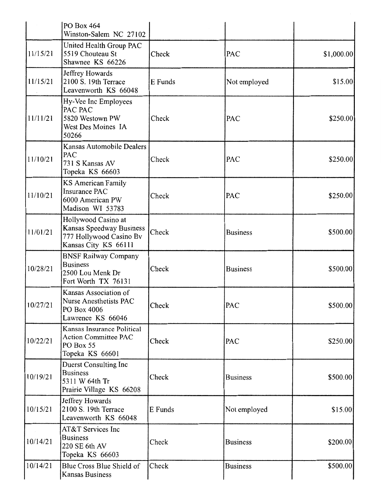|          | PO Box 464<br>Winston-Salem NC 27102                                                               |         |                 |            |
|----------|----------------------------------------------------------------------------------------------------|---------|-----------------|------------|
| 11/15/21 | United Health Group PAC<br>5519 Chouteau St<br>Shawnee KS 66226                                    | Check   | PAC             | \$1,000.00 |
| 11/15/21 | Jeffrey Howards<br>2100 S. 19th Terrace<br>Leavenworth KS 66048                                    | E Funds | Not employed    | \$15.00    |
| 11/11/21 | Hy-Vee Inc Employees<br>PAC PAC<br>5820 Westown PW<br>West Des Moines IA<br>50266                  | Check   | PAC             | \$250.00   |
| 11/10/21 | Kansas Automobile Dealers<br>PAC<br>731 S Kansas AV<br>Topeka KS 66603                             | Check   | <b>PAC</b>      | \$250.00   |
| 11/10/21 | <b>KS American Family</b><br><b>Insurance PAC</b><br>6000 American PW<br>Madison WI 53783          | Check   | PAC             | \$250.00   |
| 11/01/21 | Hollywood Casino at<br>Kansas Speedway Business<br>777 Hollywood Casino Bv<br>Kansas City KS 66111 | Check   | <b>Business</b> | \$500.00   |
| 10/28/21 | <b>BNSF Railway Company</b><br><b>Business</b><br>2500 Lou Menk Dr<br>Fort Worth TX 76131          | Check   | <b>Business</b> | \$500.00   |
| 10/27/21 | Kansas Association of<br>Nurse Anesthetists PAC<br>PO Box 4006<br>Lawrence KS 66046                | Check   | PAC             | \$500.00   |
| 10/22/21 | Kansas Insurance Political<br><b>Action Committee PAC</b><br>PO Box 55<br>Topeka KS 66601          | Check   | <b>PAC</b>      | \$250.00   |
| 10/19/21 | <b>Duerst Consulting Inc</b><br><b>Business</b><br>5311 W 64th Tr<br>Prairie Village KS 66208      | Check   | <b>Business</b> | \$500.00   |
| 10/15/21 | Jeffrey Howards<br>2100 S. 19th Terrace<br>Leavenworth KS 66048                                    | E Funds | Not employed    | \$15.00    |
| 10/14/21 | AT&T Services Inc<br><b>Business</b><br>220 SE 6th AV<br>Topeka KS 66603                           | Check   | <b>Business</b> | \$200.00   |
| 10/14/21 | Blue Cross Blue Shield of<br>Kansas Business                                                       | Check   | <b>Business</b> | \$500.00   |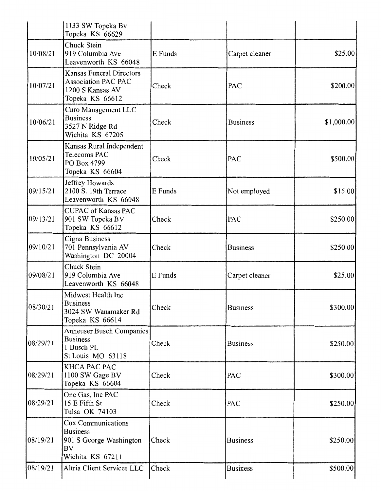|          | 1133 SW Topeka Bv<br>Topeka KS 66629                                                                     |         |                 |            |
|----------|----------------------------------------------------------------------------------------------------------|---------|-----------------|------------|
| 10/08/21 | Chuck Stein<br>919 Columbia Ave<br>Leavenworth KS 66048                                                  | E Funds | Carpet cleaner  | \$25.00    |
| 10/07/21 | <b>Kansas Funeral Directors</b><br><b>Association PAC PAC</b><br>1200 S Kansas AV<br>Topeka KS 66612     | Check   | PAC             | \$200.00   |
| 10/06/21 | Curo Management LLC<br><b>Business</b><br>3527 N Ridge Rd<br>Wichita KS 67205                            | Check   | <b>Business</b> | \$1,000.00 |
| 10/05/21 | Kansas Rural Independent<br>Telecoms PAC<br>PO Box 4799<br>Topeka KS 66604                               | Check   | PAC             | \$500.00   |
| 09/15/21 | Jeffrey Howards<br>2100 S. 19th Terrace<br>Leavenworth KS 66048                                          | E Funds | Not employed    | \$15.00    |
| 09/13/21 | <b>CUPAC</b> of Kansas PAC<br>901 SW Topeka BV<br>Topeka KS 66612                                        | Check   | PAC             | \$250.00   |
| 09/10/21 | Cigna Business<br>701 Pennsylvania AV<br>Washington DC 20004                                             | Check   | <b>Business</b> | \$250.00   |
| 09/08/21 | Chuck Stein<br>919 Columbia Ave<br>Leavenworth KS 66048                                                  | E Funds | Carpet cleaner  | \$25.00    |
| 08/30/21 | Midwest Health Inc<br><b>Business</b><br>3024 SW Wanamaker Rd<br>Topeka KS 66614                         | Check   | <b>Business</b> | \$300.00   |
| 08/29/21 | <b>Anheuser Busch Companies</b><br><b>Business</b><br>1 Busch PL<br>St Louis MO 63118                    | Check   | <b>Business</b> | \$250.00   |
| 08/29/21 | KHCA PAC PAC<br>1100 SW Gage BV<br>Topeka KS 66604                                                       | Check   | PAC             | \$300.00   |
| 08/29/21 | One Gas, Inc PAC<br>15 E Fifth St<br>Tulsa OK 74103                                                      | Check   | PAC             | \$250.00   |
| 08/19/21 | <b>Cox Communications</b><br><b>Business</b><br>901 S George Washington<br><b>BV</b><br>Wichita KS 67211 | Check   | <b>Business</b> | \$250.00   |
| 08/19/21 | Altria Client Services LLC                                                                               | Check   | <b>Business</b> | \$500.00   |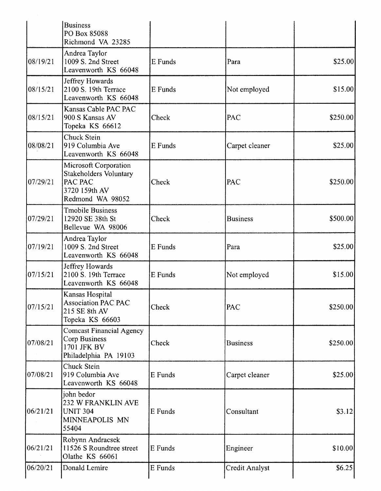|          | <b>Business</b><br>PO Box 85088<br>Richmond VA 23285                                                   |         |                       |           |
|----------|--------------------------------------------------------------------------------------------------------|---------|-----------------------|-----------|
| 08/19/21 | Andrea Taylor<br>1009 S. 2nd Street<br>Leavenworth KS 66048                                            | E Funds | Para                  | \$25.00   |
| 08/15/21 | Jeffrey Howards<br>2100 S. 19th Terrace<br>Leavenworth KS 66048                                        | E Funds | Not employed          | \$15.00   |
| 08/15/21 | Kansas Cable PAC PAC<br>900 S Kansas AV<br>Topeka KS 66612                                             | Check   | PAC                   | \$250.00  |
| 08/08/21 | <b>Chuck Stein</b><br>919 Columbia Ave<br>Leavenworth KS 66048                                         | E Funds | Carpet cleaner        | \$25.00   |
| 07/29/21 | Microsoft Corporation<br><b>Stakeholders Voluntary</b><br>PAC PAC<br>3720 159th AV<br>Redmond WA 98052 | Check   | PAC                   | \$250.00  |
| 07/29/21 | <b>Tmobile Business</b><br>12920 SE 38th St<br>Bellevue WA 98006                                       | Check   | <b>Business</b>       | \$500.00] |
| 07/19/21 | Andrea Taylor<br>1009 S. 2nd Street<br>Leavenworth KS 66048                                            | E Funds | Para                  | \$25.00   |
| 07/15/21 | Jeffrey Howards<br>2100 S. 19th Terrace<br>Leavenworth KS 66048                                        | E Funds | Not employed          | \$15.00   |
| 07/15/21 | Kansas Hospital<br><b>Association PAC PAC</b><br>215 SE 8th AV<br>Topeka KS 66603                      | Check   | PAC                   | \$250.00  |
| 07/08/21 | <b>Comcast Financial Agency</b><br><b>Corp Business</b><br>1701 JFK BV<br>Philadelphia PA 19103        | Check   | <b>Business</b>       | \$250.00  |
| 07/08/21 | <b>Chuck Stein</b><br>919 Columbia Ave<br>Leavenworth KS 66048                                         | E Funds | Carpet cleaner        | \$25.00   |
| 06/21/21 | john bedor<br>232 W FRANKLIN AVE<br><b>UNIT 304</b><br>MINNEAPOLIS MN<br>55404                         | E Funds | Consultant            | \$3.12    |
| 06/21/21 | Robynn Andracsek<br>11526 S Roundtree street<br>Olathe KS 66061                                        | E Funds | Engineer              | \$10.00   |
| 06/20/21 | Donald Lemire                                                                                          | E Funds | <b>Credit Analyst</b> | \$6.25    |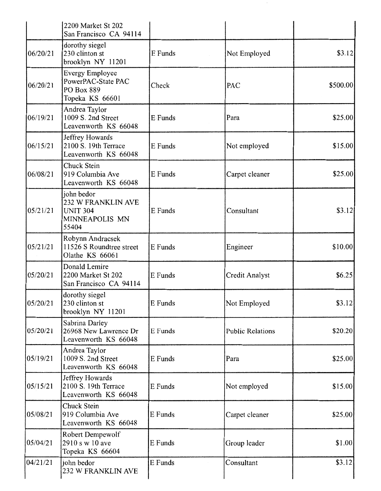|          | 2200 Market St 202<br>San Francisco CA 94114                                   |         |                         |          |
|----------|--------------------------------------------------------------------------------|---------|-------------------------|----------|
| 06/20/21 | dorothy siegel<br>230 clinton st<br>brooklyn NY 11201                          | E Funds | Not Employed            | \$3.12]  |
| 06/20/21 | <b>Evergy Employee</b><br>PowerPAC-State PAC<br>PO Box 889<br>Topeka KS 66601  | Check   | PAC                     | \$500.00 |
| 06/19/21 | Andrea Taylor<br>1009 S. 2nd Street<br>Leavenworth KS 66048                    | E Funds | Para                    | \$25.00  |
| 06/15/21 | Jeffrey Howards<br>2100 S. 19th Terrace<br>Leavenworth KS 66048                | E Funds | Not employed            | \$15.00  |
| 06/08/21 | Chuck Stein<br>919 Columbia Ave<br>Leavenworth KS 66048                        | E Funds | Carpet cleaner          | \$25.00  |
| 05/21/21 | john bedor<br>232 W FRANKLIN AVE<br><b>UNIT 304</b><br>MINNEAPOLIS MN<br>55404 | E Funds | Consultant              | \$3.12]  |
| 05/21/21 | Robynn Andracsek<br>11526 S Roundtree street<br>Olathe KS 66061                | E Funds | Engineer                | \$10.00  |
| 05/20/21 | Donald Lemire<br>2200 Market St 202<br>San Francisco CA 94114                  | E Funds | Credit Analyst          | \$6.25   |
| 05/20/21 | dorothy siegel<br>230 clinton st<br>brooklyn NY 11201                          | E Funds | Not Employed            | \$3.12]  |
| 05/20/21 | Sabrina Darley<br>26968 New Lawrence Dr<br>Leavenworth KS 66048                | E Funds | <b>Public Relations</b> | \$20.20  |
| 05/19/21 | Andrea Taylor<br>1009 S. 2nd Street<br>Leavenworth KS 66048                    | E Funds | Para                    | \$25.00  |
| 05/15/21 | Jeffrey Howards<br>2100 S. 19th Terrace<br>Leavenworth KS 66048                | E Funds | Not employed            | \$15.00  |
| 05/08/21 | Chuck Stein<br>919 Columbia Ave<br>Leavenworth KS 66048                        | E Funds | Carpet cleaner          | \$25.00  |
| 05/04/21 | Robert Dempewolf<br>2910 s w 10 ave<br>Topeka KS 66604                         | E Funds | Group leader            | \$1.00   |
| 04/21/21 | john bedor<br>232 W FRANKLIN AVE                                               | E Funds | Consultant              | \$3.12   |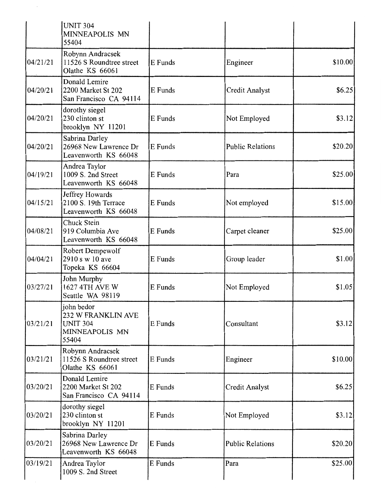|          | <b>UNIT 304</b><br>MINNEAPOLIS MN<br>55404                                     |         |                         |         |
|----------|--------------------------------------------------------------------------------|---------|-------------------------|---------|
| 04/21/21 | Robynn Andracsek<br>11526 S Roundtree street<br>Olathe KS 66061                | E Funds | Engineer                | \$10.00 |
| 04/20/21 | Donald Lemire<br>2200 Market St 202<br>San Francisco CA 94114                  | E Funds | Credit Analyst          | \$6.25  |
| 04/20/21 | dorothy siegel<br>230 clinton st<br>brooklyn NY 11201                          | E Funds | Not Employed            | \$3.12  |
| 04/20/21 | Sabrina Darley<br>26968 New Lawrence Dr<br>Leavenworth KS 66048                | E Funds | <b>Public Relations</b> | \$20.20 |
| 04/19/21 | Andrea Taylor<br>1009 S. 2nd Street<br>Leavenworth KS 66048                    | E Funds | Para                    | \$25.00 |
| 04/15/21 | Jeffrey Howards<br>2100 S. 19th Terrace<br>Leavenworth KS 66048                | E Funds | Not employed            | \$15.00 |
| 04/08/21 | Chuck Stein<br>919 Columbia Ave<br>Leavenworth KS 66048                        | E Funds | Carpet cleaner          | \$25.00 |
| 04/04/21 | Robert Dempewolf<br>2910 s w 10 ave<br>Topeka KS 66604                         | E Funds | Group leader            | \$1.00  |
| 03/27/21 | John Murphy<br>1627 4TH AVE W<br>Seattle WA 98119                              | E Funds | Not Employed            | \$1.05  |
| 03/21/21 | john bedor<br>232 W FRANKLIN AVE<br><b>UNIT 304</b><br>MINNEAPOLIS MN<br>55404 | E Funds | Consultant              | \$3.12  |
| 03/21/21 | Robynn Andracsek<br>11526 S Roundtree street<br>Olathe KS 66061                | E Funds | Engineer                | \$10.00 |
| 03/20/21 | Donald Lemire<br>2200 Market St 202<br>San Francisco CA 94114                  | E Funds | <b>Credit Analyst</b>   | \$6.25  |
| 03/20/21 | dorothy siegel<br>230 clinton st<br>brooklyn NY 11201                          | E Funds | Not Employed            | \$3.12  |
| 03/20/21 | Sabrina Darley<br>26968 New Lawrence Dr<br>Leavenworth KS 66048                | E Funds | <b>Public Relations</b> | \$20.20 |
| 03/19/21 | Andrea Taylor<br>1009 S. 2nd Street                                            | E Funds | Para                    | \$25.00 |

 $\mathcal{A}^{\mathcal{A}}_{\mathcal{A}}$  ,  $\mathcal{A}^{\mathcal{A}}_{\mathcal{A}}$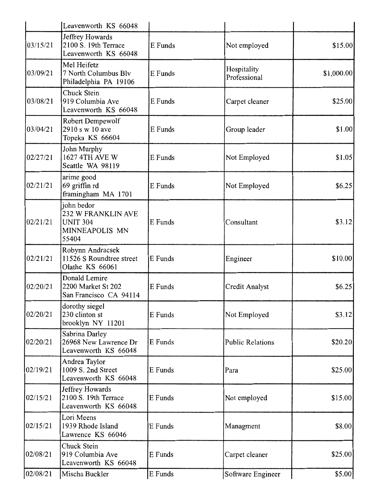|          | Leavenworth KS 66048                                                           |         |                             |            |
|----------|--------------------------------------------------------------------------------|---------|-----------------------------|------------|
| 03/15/21 | Jeffrey Howards<br>2100 S. 19th Terrace<br>Leavenworth KS 66048                | E Funds | Not employed                | \$15.00    |
| 03/09/21 | Mel Heifetz<br>7 North Columbus Blv<br>Philadelphia PA 19106                   | E Funds | Hospitality<br>Professional | \$1,000.00 |
| 03/08/21 | Chuck Stein<br>919 Columbia Ave<br>Leavenworth KS 66048                        | E Funds | Carpet cleaner              | \$25.00    |
| 03/04/21 | Robert Dempewolf<br>2910 s w 10 ave<br>Topeka KS 66604                         | E Funds | Group leader                | \$1.00     |
| 02/27/21 | John Murphy<br>1627 4TH AVE W<br>Seattle WA 98119                              | E Funds | Not Employed                | \$1.05     |
| 02/21/21 | arime good<br>69 griffin rd<br>framingham MA 1701                              | E Funds | Not Employed                | \$6.25     |
| 02/21/21 | john bedor<br>232 W FRANKLIN AVE<br><b>UNIT 304</b><br>MINNEAPOLIS MN<br>55404 | E Funds | Consultant                  | \$3.12     |
| 02/21/21 | Robynn Andracsek<br>11526 S Roundtree street<br>Olathe KS 66061                | E Funds | Engineer                    | \$10.00    |
| 02/20/21 | Donald Lemire<br>2200 Market St 202<br>San Francisco CA 94114                  | E Funds | Credit Analyst              | \$6.25     |
| 02/20/21 | dorothy siegel<br>230 clinton st<br>brooklyn NY 11201                          | E Funds | Not Employed                | \$3.12     |
| 02/20/21 | Sabrina Darley<br>26968 New Lawrence Dr<br>Leavenworth KS 66048                | E Funds | Public Relations            | \$20.20    |
| 02/19/21 | Andrea Taylor<br>1009 S. 2nd Street<br>Leavenworth KS 66048                    | E Funds | Para                        | \$25.00    |
| 02/15/21 | Jeffrey Howards<br>2100 S. 19th Terrace<br>Leavenworth KS 66048                | E Funds | Not employed                | \$15.00    |
| 02/15/21 | Lori Meens<br>1939 Rhode Island<br>Lawrence KS 66046                           | E Funds | Managment                   | \$8.00     |
| 02/08/21 | Chuck Stein<br>919 Columbia Ave<br>Leavenworth KS 66048                        | E Funds | Carpet cleaner              | \$25.00    |
| 02/08/21 | Mischa Buckler                                                                 | E Funds | Software Engineer           | \$5.00     |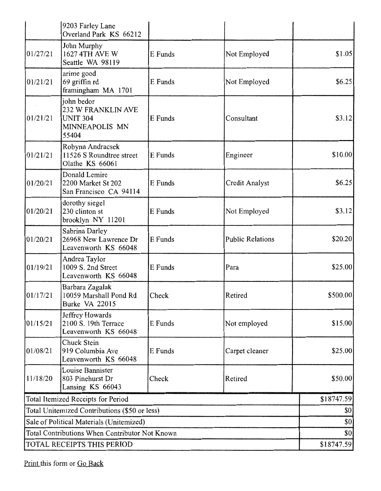|                                               | 9203 Farley Lane<br>Overland Park KS 66212                                     |         |                         |                   |  |
|-----------------------------------------------|--------------------------------------------------------------------------------|---------|-------------------------|-------------------|--|
| 01/27/21                                      | John Murphy<br>1627 4TH AVE W<br>Seattle WA 98119                              | E Funds | Not Employed            | \$1.05            |  |
| 01/21/21                                      | arime good<br>69 griffin rd<br>framingham MA 1701                              | E Funds | Not Employed            | \$6.25            |  |
| 01/21/21                                      | john bedor<br>232 W FRANKLIN AVE<br><b>UNIT 304</b><br>MINNEAPOLIS MN<br>55404 | E Funds | Consultant              | \$3.12            |  |
| 01/21/21                                      | Robynn Andracsek<br>11526 S Roundtree street<br>Olathe KS 66061                | E Funds | Engineer                | \$10.00           |  |
| 01/20/21                                      | Donald Lemire<br>2200 Market St 202<br>San Francisco CA 94114                  | E Funds | Credit Analyst          | \$6.25            |  |
| 01/20/21                                      | dorothy siegel<br>230 clinton st<br>brooklyn NY 11201                          | E Funds | Not Employed            | \$3.12            |  |
| 01/20/21                                      | Sabrina Darley<br>26968 New Lawrence Dr<br>Leavenworth KS 66048                | E Funds | <b>Public Relations</b> | \$20.20]          |  |
| 01/19/21                                      | Andrea Taylor<br>1009 S. 2nd Street<br>Leavenworth KS 66048                    | E Funds | Para                    | \$25.00           |  |
| 01/17/21                                      | Barbara Zagalak<br>10059 Marshall Pond Rd<br>Burke VA 22015                    | Check   | Retired                 | \$500.00          |  |
| 01/15/21                                      | Jeffrey Howards<br>2100 S. 19th Terrace<br>Leavenworth KS 66048                | E Funds | Not employed            | \$15.00           |  |
| 01/08/21                                      | Chuck Stein<br>919 Columbia Ave<br>Leavenworth KS 66048                        | E Funds | Carpet cleaner          | \$25.00           |  |
| 11/18/20                                      | Louise Bannister<br>803 Pinehurst Dr<br>Lansing KS 66043                       | Check   | Retired                 | \$50.00           |  |
|                                               | Total Itemized Receipts for Period                                             |         |                         | \$18747.59        |  |
| Total Unitemized Contributions (\$50 or less) | \$0                                                                            |         |                         |                   |  |
| Sale of Political Materials (Unitemized)      | \$0                                                                            |         |                         |                   |  |
|                                               | Total Contributions When Contributor Not Known                                 |         |                         | \$0<br>\$18747.59 |  |
|                                               | TOTAL RECEIPTS THIS PERIOD                                                     |         |                         |                   |  |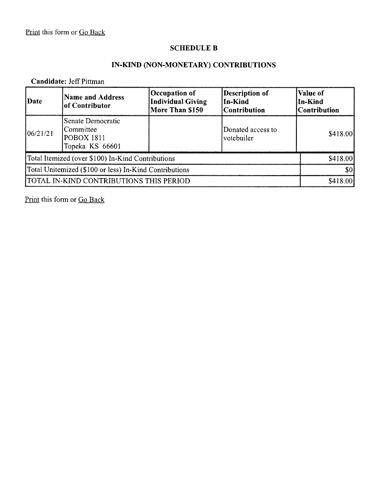#### **SCHEDULE B**

# **IN-KIND (NON-MONETARY) CONTRIBUTIONS**

# **Candidate:** Jeff Pittman

| Date                                                   | <b>Name and Address</b><br>of Contributor                              | Occupation of<br><b>Individual Giving</b><br>More Than \$150 | <b>Description of</b><br>In-Kind<br><b>Contribution</b> | Value of<br>In-Kind<br><b>Contribution</b> |
|--------------------------------------------------------|------------------------------------------------------------------------|--------------------------------------------------------------|---------------------------------------------------------|--------------------------------------------|
| 06/21/21                                               | Senate Democratic<br>Committee<br><b>POBOX 1811</b><br>Topeka KS 66601 |                                                              | Donated access to<br>votebuiler                         | \$418.00                                   |
|                                                        | Total Itemized (over \$100) In-Kind Contributions                      |                                                              |                                                         | \$418.00                                   |
| Total Unitemized (\$100 or less) In-Kind Contributions |                                                                        |                                                              | \$0                                                     |                                            |
|                                                        | TOTAL IN-KIND CONTRIBUTIONS THIS PERIOD                                |                                                              |                                                         | \$418.00                                   |